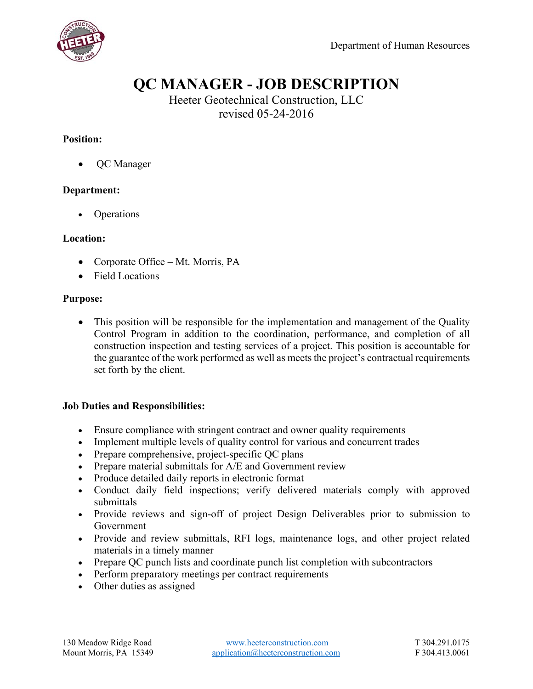

# **QC MANAGER - JOB DESCRIPTION**

Heeter Geotechnical Construction, LLC revised 05-24-2016

### **Position:**

• QC Manager

#### **Department:**

• Operations

#### **Location:**

- Corporate Office Mt. Morris, PA
- Field Locations

#### **Purpose:**

 This position will be responsible for the implementation and management of the Quality Control Program in addition to the coordination, performance, and completion of all construction inspection and testing services of a project. This position is accountable for the guarantee of the work performed as well as meets the project's contractual requirements set forth by the client.

#### **Job Duties and Responsibilities:**

- Ensure compliance with stringent contract and owner quality requirements
- Implement multiple levels of quality control for various and concurrent trades
- Prepare comprehensive, project-specific QC plans
- Prepare material submittals for A/E and Government review
- Produce detailed daily reports in electronic format
- Conduct daily field inspections; verify delivered materials comply with approved submittals
- Provide reviews and sign-off of project Design Deliverables prior to submission to Government
- Provide and review submittals, RFI logs, maintenance logs, and other project related materials in a timely manner
- Prepare QC punch lists and coordinate punch list completion with subcontractors
- Perform preparatory meetings per contract requirements
- Other duties as assigned